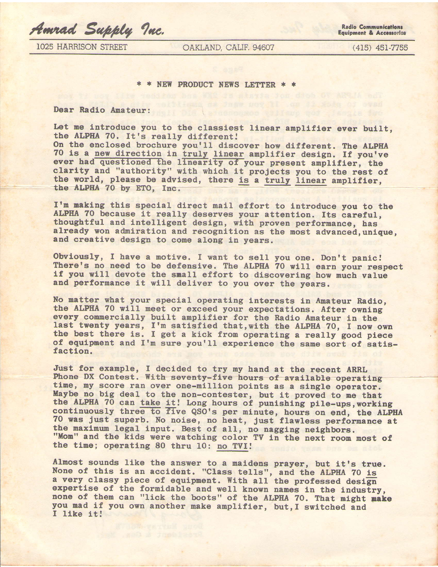Amrad Supply Inc.

**1025 HARRISON STREET** 

OAKLAND, CALIF. 94607

 $(415)$   $451-7755$ 

\* \* NEW PRODUCT NEWS LETTER \* \*

Dear Radio Amateur:

Let me introduce you to the classiest linear amplifier ever built. the ALPHA 70. It's really different!

On the enclosed brochure you'll discover how different. The ALPHA 70 is a new direction in truly linear amplifier design. If you've ever had questioned the linearity of your present amplifier, the clarity and "authority" with which it projects you to the rest of the world, please be advised, there is a truly linear amplifier, the ALPHA 70 by ETO, Inc.

I'm making this special direct mail effort to introduce you to the ALPHA 70 because it really deserves your attention. Its careful, thoughtful and intelligent design, with proven performance, has already won admiration and recognition as the most advanced, unique, and creative design to come along in years.

Obviously, I have a motive. I want to sell you one. Don't panic! There's no need to be defensive. The ALPHA 70 will earn your respect if you will devote the small effort to discovering how much value and performance it will deliver to you over the years.

No matter what your special operating interests in Amateur Radio, the ALPHA 70 will meet or exceed your expectations. After owning every commercially built amplifier for the Radio Amateur in the last twenty years, I'm satisfied that, with the ALPHA 70, I now own the best there is. I get a kick from operating a really good piece of equipment and I'm sure you'll experience the same sort of satisfaction.

Just for example, I decided to try my hand at the recent ARRL Phone DX Contest. With seventy-five hours of available operating time, my score ran over one-million points as a single operator. Maybe no big deal to the non-contester, but it proved to me that the ALPHA 70 can take it! Long hours of punishing pile-ups, working<br>continuously three to five QSO's per minute, hours on end, the ALPHA<br>70 was just superb. No noise, no heat, just flawless performance at the maximum legal input. Best of all, no nagging neighbors. "Mom" and the kids were watching color TV in the next room most of the time; operating 80 thru 10: no TVI!

Almost sounds like the answer to a maidens prayer, but it's true. None of this is an accident. "Class tells", and the ALPHA 70 is a very classy piece of equipment. With all the professed design expertise of the formidable and well known names in the industry, none of them can "lick the boots" of the ALPHA 70. That might make you mad if you own another make amplifier, but, I switched and I like it!